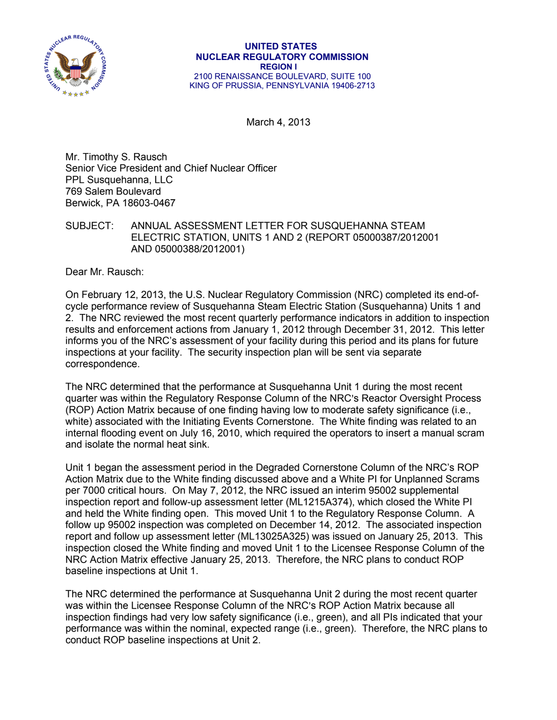

March 4, 2013

Mr. Timothy S. Rausch Senior Vice President and Chief Nuclear Officer PPL Susquehanna, LLC 769 Salem Boulevard Berwick, PA 18603-0467

SUBJECT: ANNUAL ASSESSMENT LETTER FOR SUSQUEHANNA STEAM ELECTRIC STATION, UNlTS 1 AND 2 (REPORT 05000387/2012001 AND 05000388/2012001)

Dear Mr. Rausch:

On February 12, 2013, the U.S. Nuclear Regulatory Commission (NRC) completed its end-ofcycle performance review of Susquehanna Steam Electric Station (Susquehanna) Units 1 and 2. The NRC reviewed the most recent quarterly performance indicators in addition to inspection results and enforcement actions from January 1, 2012 through December 31, 2012. This letter informs you of the NRC's assessment of your facility during this period and its plans for future inspections at your facility. The security inspection plan will be sent via separate correspondence.

The NRC determined that the performance at Susquehanna Unit 1 during the most recent quarter was within the Regulatory Response Column of the NRC's Reactor Oversight Process (ROP) Action Matrix because of one finding having low to moderate safety significance (i.e., white) associated with the Initiating Events Cornerstone. The White finding was related to an internal flooding event on July 16, 2010, which required the operators to insert a manual scram and isolate the normal heat sink.

Unit 1 began the assessment period in the Degraded Cornerstone Column of the NRC's ROP Action Matrix due to the White finding discussed above and a White PI for Unplanned Scrams per 7000 critical hours. On May 7, 2012, the NRC issued an interim 95002 supplemental inspection report and follow-up assessment letter (ML1215A374), which closed the White PI and held the White finding open. This moved Unit 1 to the Regulatory Response Column. A follow up 95002 inspection was completed on December 14, 2012. The associated inspection report and follow up assessment letter (ML13025A325) was issued on January 25, 2013. This inspection closed the White finding and moved Unit 1 to the Licensee Response Column of the NRC Action Matrix effective January 25, 2013. Therefore, the NRC plans to conduct ROP baseline inspections at Unit 1.

The NRC determined the performance at Susquehanna Unit 2 during the most recent quarter was within the Licensee Response Column of the NRC's ROP Action Matrix because all inspection findings had very low safety significance (i.e., green), and all PIs indicated that your performance was within the nominal, expected range (i.e., green). Therefore, the NRC plans to conduct ROP baseline inspections at Unit 2.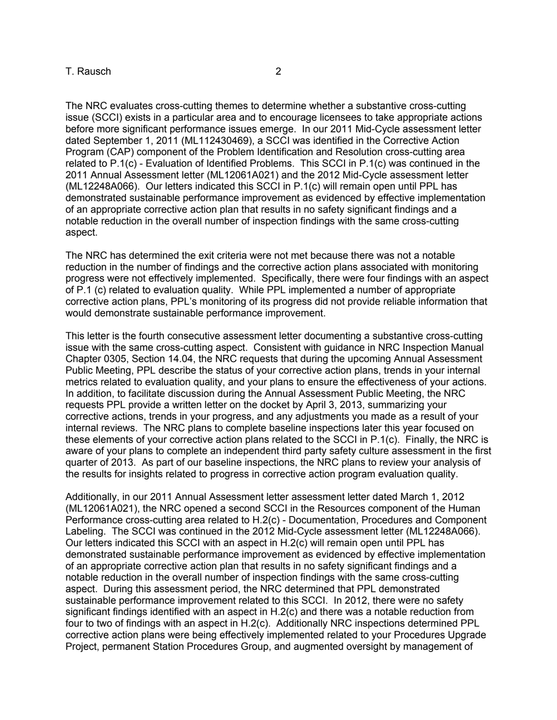## T. Rausch 2

The NRC evaluates cross-cutting themes to determine whether a substantive cross-cutting issue (SCCI) exists in a particular area and to encourage licensees to take appropriate actions before more significant performance issues emerge. In our 2011 Mid-Cycle assessment letter dated September 1, 2011 (ML112430469), a SCCI was identified in the Corrective Action Program (CAP) component of the Problem Identification and Resolution cross-cutting area related to P.1(c) - Evaluation of Identified Problems. This SCCI in P.1(c) was continued in the 2011 Annual Assessment letter (ML12061A021) and the 2012 Mid-Cycle assessment letter (ML12248A066). Our letters indicated this SCCI in P.1(c) will remain open until PPL has demonstrated sustainable performance improvement as evidenced by effective implementation of an appropriate corrective action plan that results in no safety significant findings and a notable reduction in the overall number of inspection findings with the same cross-cutting aspect.

The NRC has determined the exit criteria were not met because there was not a notable reduction in the number of findings and the corrective action plans associated with monitoring progress were not effectively implemented. Specifically, there were four findings with an aspect of P.1 (c) related to evaluation quality. While PPL implemented a number of appropriate corrective action plans, PPL's monitoring of its progress did not provide reliable information that would demonstrate sustainable performance improvement.

This letter is the fourth consecutive assessment letter documenting a substantive cross-cutting issue with the same cross-cutting aspect. Consistent with guidance in NRC Inspection Manual Chapter 0305, Section 14.04, the NRC requests that during the upcoming Annual Assessment Public Meeting, PPL describe the status of your corrective action plans, trends in your internal metrics related to evaluation quality, and your plans to ensure the effectiveness of your actions. In addition, to facilitate discussion during the Annual Assessment Public Meeting, the NRC requests PPL provide a written letter on the docket by April 3, 2013, summarizing your corrective actions, trends in your progress, and any adjustments you made as a result of your internal reviews. The NRC plans to complete baseline inspections later this year focused on these elements of your corrective action plans related to the SCCI in P.1(c). Finally, the NRC is aware of your plans to complete an independent third party safety culture assessment in the first quarter of 2013. As part of our baseline inspections, the NRC plans to review your analysis of the results for insights related to progress in corrective action program evaluation quality.

Additionally, in our 2011 Annual Assessment letter assessment letter dated March 1, 2012 (ML12061A021), the NRC opened a second SCCI in the Resources component of the Human Performance cross-cutting area related to H.2(c) - Documentation, Procedures and Component Labeling. The SCCI was continued in the 2012 Mid-Cycle assessment letter (ML12248A066). Our letters indicated this SCCI with an aspect in H.2(c) will remain open until PPL has demonstrated sustainable performance improvement as evidenced by effective implementation of an appropriate corrective action plan that results in no safety significant findings and a notable reduction in the overall number of inspection findings with the same cross-cutting aspect. During this assessment period, the NRC determined that PPL demonstrated sustainable performance improvement related to this SCCI. In 2012, there were no safety significant findings identified with an aspect in H.2(c) and there was a notable reduction from four to two of findings with an aspect in H.2(c). Additionally NRC inspections determined PPL corrective action plans were being effectively implemented related to your Procedures Upgrade Project, permanent Station Procedures Group, and augmented oversight by management of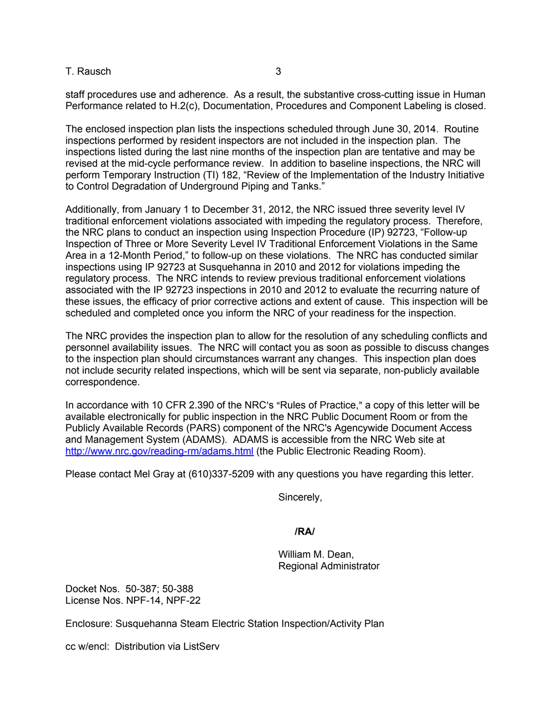T. Rausch 3

staff procedures use and adherence. As a result, the substantive cross-cutting issue in Human Performance related to H.2(c), Documentation, Procedures and Component Labeling is closed.

The enclosed inspection plan lists the inspections scheduled through June 30, 2014. Routine inspections performed by resident inspectors are not included in the inspection plan. The inspections listed during the last nine months of the inspection plan are tentative and may be revised at the mid-cycle performance review. In addition to baseline inspections, the NRC will perform Temporary Instruction (TI) 182, "Review of the Implementation of the Industry Initiative to Control Degradation of Underground Piping and Tanks."

Additionally, from January 1 to December 31, 2012, the NRC issued three severity level IV traditional enforcement violations associated with impeding the regulatory process. Therefore, the NRC plans to conduct an inspection using Inspection Procedure (IP) 92723, "Follow-up Inspection of Three or More Severity Level IV Traditional Enforcement Violations in the Same Area in a 12-Month Period," to follow-up on these violations. The NRC has conducted similar inspections using IP 92723 at Susquehanna in 2010 and 2012 for violations impeding the regulatory process. The NRC intends to review previous traditional enforcement violations associated with the IP 92723 inspections in 2010 and 2012 to evaluate the recurring nature of these issues, the efficacy of prior corrective actions and extent of cause. This inspection will be scheduled and completed once you inform the NRC of your readiness for the inspection.

The NRC provides the inspection plan to allow for the resolution of any scheduling conflicts and personnel availability issues. The NRC will contact you as soon as possible to discuss changes to the inspection plan should circumstances warrant any changes. This inspection plan does not include security related inspections, which will be sent via separate, non-publicly available correspondence.

In accordance with 10 CFR 2.390 of the NRC's "Rules of Practice," a copy of this letter will be available electronically for public inspection in the NRC Public Document Room or from the Publicly Available Records (PARS) component of the NRC's Agencywide Document Access and Management System (ADAMS). ADAMS is accessible from the NRC Web site at http://www.nrc.gov/reading-rm/adams.html (the Public Electronic Reading Room).

Please contact Mel Gray at (610)337-5209 with any questions you have regarding this letter.

Sincerely,

## **/RA/**

William M. Dean, Regional Administrator

Docket Nos. 50-387; 50-388 License Nos. NPF-14, NPF-22

Enclosure: Susquehanna Steam Electric Station Inspection/Activity Plan

cc w/encl: Distribution via ListServ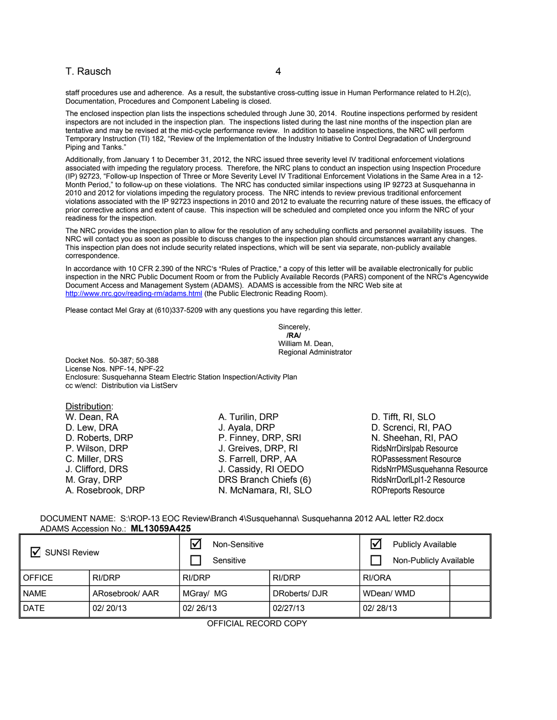#### T. Rausch 4

staff procedures use and adherence. As a result, the substantive cross-cutting issue in Human Performance related to H.2(c), Documentation, Procedures and Component Labeling is closed.

The enclosed inspection plan lists the inspections scheduled through June 30, 2014. Routine inspections performed by resident inspectors are not included in the inspection plan. The inspections listed during the last nine months of the inspection plan are tentative and may be revised at the mid-cycle performance review. In addition to baseline inspections, the NRC will perform Temporary Instruction (TI) 182, "Review of the Implementation of the Industry Initiative to Control Degradation of Underground Piping and Tanks."

Additionally, from January 1 to December 31, 2012, the NRC issued three severity level IV traditional enforcement violations associated with impeding the regulatory process. Therefore, the NRC plans to conduct an inspection using Inspection Procedure (IP) 92723, "Follow-up Inspection of Three or More Severity Level IV Traditional Enforcement Violations in the Same Area in a 12- Month Period," to follow-up on these violations. The NRC has conducted similar inspections using IP 92723 at Susquehanna in 2010 and 2012 for violations impeding the regulatory process. The NRC intends to review previous traditional enforcement violations associated with the IP 92723 inspections in 2010 and 2012 to evaluate the recurring nature of these issues, the efficacy of prior corrective actions and extent of cause. This inspection will be scheduled and completed once you inform the NRC of your readiness for the inspection.

The NRC provides the inspection plan to allow for the resolution of any scheduling conflicts and personnel availability issues. The NRC will contact you as soon as possible to discuss changes to the inspection plan should circumstances warrant any changes. This inspection plan does not include security related inspections, which will be sent via separate, non-publicly available correspondence.

In accordance with 10 CFR 2.390 of the NRC's "Rules of Practice," a copy of this letter will be available electronically for public inspection in the NRC Public Document Room or from the Publicly Available Records (PARS) component of the NRC's Agencywide Document Access and Management System (ADAMS). ADAMS is accessible from the NRC Web site at http://www.nrc.gov/reading-rm/adams.html (the Public Electronic Reading Room).

Please contact Mel Gray at (610)337-5209 with any questions you have regarding this letter.

Sincerely, **/RA/**  William M. Dean, Regional Administrator

Docket Nos. 50-387; 50-388 License Nos. NPF-14, NPF-22 Enclosure: Susquehanna Steam Electric Station Inspection/Activity Plan cc w/encl: Distribution via ListServ

| Distribution:     |                       |
|-------------------|-----------------------|
| W. Dean, RA       | A. Turilin, DRP       |
| D. Lew, DRA       | J. Ayala, DRP         |
| D. Roberts, DRP   | P. Finney, DRP, SRI   |
| P. Wilson, DRP    | J. Greives, DRP, RI   |
| C. Miller, DRS    | S. Farrell, DRP, AA   |
| J. Clifford, DRS  | J. Cassidy, RI OEDO   |
| M. Gray, DRP      | DRS Branch Chiefs (6) |
| A. Rosebrook, DRP | N. McNamara, RI, SLO  |

D. Tifft, RI, SLO D. Screnci, RI, PAO N. Sheehan, RI, PAO RidsNrrDirslpab Resource ROPassessment Resource RidsNrrPMSusquehanna Resource RidsNrrDorlLpl1-2 Resource ROPreports Resource

 DOCUMENT NAME: S:\ROP-13 EOC Review\Branch 4\Susquehanna\ Susquehanna 2012 AAL letter R2.docx ADAMS Accession No.: **ML13059A425** 

| <b>SUNSI Review</b> |                | Non-Sensitive |              | Ⅳ<br><b>Publicly Available</b> |  |
|---------------------|----------------|---------------|--------------|--------------------------------|--|
|                     |                | Sensitive     |              | Non-Publicly Available         |  |
| <b>OFFICE</b>       | RI/DRP         | RI/DRP        | RI/DRP       | RI/ORA                         |  |
| <b>NAME</b>         | ARosebrook/AAR | MGray/ MG     | DRoberts/DJR | WDean/WMD                      |  |
| <b>DATE</b>         | 02/20/13       | 02/26/13      | 02/27/13     | 02/28/13                       |  |

OFFICIAL RECORD COPY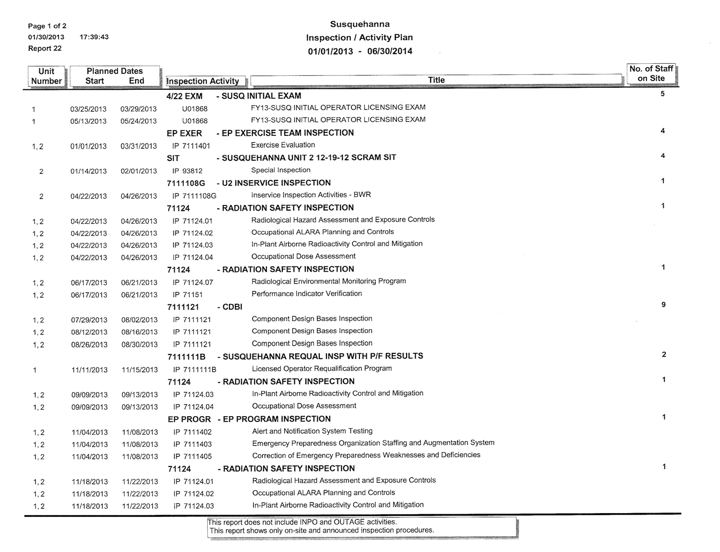Page 1 of 2 01/30/2013 17:39:43 Report 22

# Susquehanna **Inspection / Activity Plan** 01/01/2013 - 06/30/2014

 $\mathbb{R}^2$ 

 $\sim$ 

| <b>Unit</b>                                            |            | <b>Planned Dates</b> |                            |        |                                                                      | No. of Staff |
|--------------------------------------------------------|------------|----------------------|----------------------------|--------|----------------------------------------------------------------------|--------------|
| Number                                                 | Start      | End                  | <b>Inspection Activity</b> |        | <b>Title</b>                                                         | on Site      |
|                                                        |            |                      | 4/22 EXM                   |        | - SUSQ INITIAL EXAM                                                  | 5            |
| 1                                                      | 03/25/2013 | 03/29/2013           | U01868                     |        | FY13-SUSQ INITIAL OPERATOR LICENSING EXAM                            |              |
| $\mathbf{1}$                                           | 05/13/2013 | 05/24/2013           | U01868                     |        | FY13-SUSQ INITIAL OPERATOR LICENSING EXAM                            |              |
|                                                        |            |                      | <b>EP EXER</b>             |        | - EP EXERCISE TEAM INSPECTION                                        | 4            |
| 1, 2                                                   | 01/01/2013 | 03/31/2013           | IP 7111401                 |        | <b>Exercise Evaluation</b>                                           |              |
|                                                        |            |                      | <b>SIT</b>                 |        | - SUSQUEHANNA UNIT 2 12-19-12 SCRAM SIT                              | 4            |
| $\overline{2}$                                         | 01/14/2013 | 02/01/2013           | IP 93812                   |        | Special Inspection                                                   |              |
|                                                        |            |                      | 7111108G                   |        | - U2 INSERVICE INSPECTION                                            | $\mathbf{1}$ |
| $\overline{2}$                                         | 04/22/2013 | 04/26/2013           | IP 7111108G                |        | Inservice Inspection Activities - BWR                                |              |
|                                                        |            |                      | 71124                      |        | - RADIATION SAFETY INSPECTION                                        | 1            |
| 1, 2                                                   | 04/22/2013 | 04/26/2013           | IP 71124.01                |        | Radiological Hazard Assessment and Exposure Controls                 |              |
| 1, 2                                                   | 04/22/2013 | 04/26/2013           | IP 71124.02                |        | Occupational ALARA Planning and Controls                             |              |
| 1, 2                                                   | 04/22/2013 | 04/26/2013           | IP 71124.03                |        | In-Plant Airborne Radioactivity Control and Mitigation               |              |
| 1, 2                                                   | 04/22/2013 | 04/26/2013           | IP 71124.04                |        | Occupational Dose Assessment                                         |              |
|                                                        |            |                      | 71124                      |        | - RADIATION SAFETY INSPECTION                                        | $\mathbf{1}$ |
| 1, 2                                                   | 06/17/2013 | 06/21/2013           | IP 71124.07                |        | Radiological Environmental Monitoring Program                        |              |
| 1, 2                                                   | 06/17/2013 | 06/21/2013           | IP 71151                   |        | Performance Indicator Verification                                   |              |
|                                                        |            |                      | 7111121                    | - CDBI |                                                                      | 9            |
| 1, 2                                                   | 07/29/2013 | 08/02/2013           | IP 7111121                 |        | Component Design Bases Inspection                                    |              |
| 1, 2                                                   | 08/12/2013 | 08/16/2013           | IP 7111121                 |        | Component Design Bases Inspection                                    |              |
| 1, 2                                                   | 08/26/2013 | 08/30/2013           | IP 7111121                 |        | Component Design Bases Inspection                                    |              |
|                                                        |            |                      | 711111B                    |        | - SUSQUEHANNA REQUAL INSP WITH P/F RESULTS                           | $\mathbf{2}$ |
| $\mathbf{1}$                                           | 11/11/2013 | 11/15/2013           | IP 7111111B                |        | Licensed Operator Requalification Program                            |              |
|                                                        |            |                      | 71124                      |        | - RADIATION SAFETY INSPECTION                                        | 1            |
| 1, 2                                                   | 09/09/2013 | 09/13/2013           | IP 71124.03                |        | In-Plant Airborne Radioactivity Control and Mitigation               |              |
| 1, 2                                                   | 09/09/2013 | 09/13/2013           | IP 71124.04                |        | Occupational Dose Assessment                                         |              |
|                                                        |            |                      |                            |        | EP PROGR - EP PROGRAM INSPECTION                                     | $\mathbf{1}$ |
| 1, 2                                                   | 11/04/2013 | 11/08/2013           | IP 7111402                 |        | Alert and Notification System Testing                                |              |
| 1, 2                                                   | 11/04/2013 | 11/08/2013           | IP 7111403                 |        | Emergency Preparedness Organization Staffing and Augmentation System |              |
| 1, 2                                                   | 11/04/2013 | 11/08/2013           | IP 7111405                 |        | Correction of Emergency Preparedness Weaknesses and Deficiencies     |              |
| $\mathbf{1}$<br>- RADIATION SAFETY INSPECTION<br>71124 |            |                      |                            |        |                                                                      |              |
| 1, 2                                                   | 11/18/2013 | 11/22/2013           | IP 71124.01                |        | Radiological Hazard Assessment and Exposure Controls                 |              |
| 1, 2                                                   | 11/18/2013 | 11/22/2013           | IP 71124.02                |        | Occupational ALARA Planning and Controls                             |              |
| 1, 2                                                   | 11/18/2013 | 11/22/2013           | IP 71124.03                |        | In-Plant Airborne Radioactivity Control and Mitigation               |              |

This report does not include INPO and OUTAGE activities.<br>This report shows only on-site and announced inspection procedures.

<u>.</u><br>Kabupatèn Banggunian

-----------------------